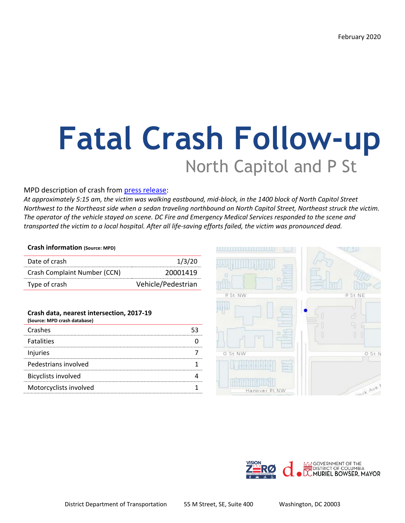# **Fatal Crash Follow-up** North Capitol and P St

#### MPD description of crash from [press release:](https://mpdc.dc.gov/release/traffic-fatality-1400-block-north-capitol-street-northeast)

*At approximately 5:15 am, the victim was walking eastbound, mid-block, in the 1400 block of North Capitol Street Northwest to the Northeast side when a sedan traveling northbound on North Capitol Street, Northeast struck the victim. The operator of the vehicle stayed on scene. DC Fire and Emergency Medical Services responded to the scene and transported the victim to a local hospital. After all life-saving efforts failed, the victim was pronounced dead.*

#### **Crash information (Source: MPD)**

| Date of crash                | 1/3/20             |
|------------------------------|--------------------|
| Crash Complaint Number (CCN) | 20001419           |
| Type of crash                | Vehicle/Pedestrian |

#### **Crash data, nearest intersection, 2017-19**

| (Source: MPD crash database) |  |
|------------------------------|--|
| Crashes                      |  |
| <b>Fatalities</b>            |  |
| Injuries                     |  |
| Pedestrians involved         |  |
| <b>Bicyclists involved</b>   |  |
| Motorcyclists involved       |  |